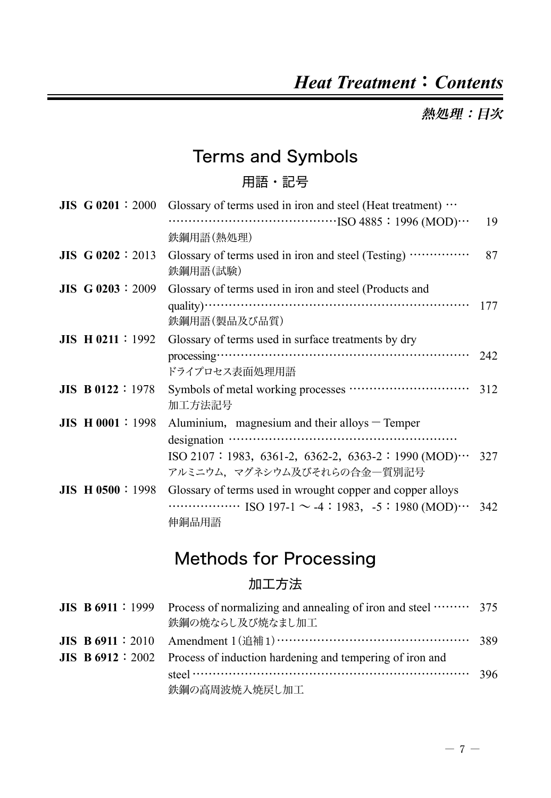### *Heat Treatment*:*Contents*

熱処理:日次

### Terms and Symbols

#### 用語・記号

| $JIS$ G 0201 : 2000      | Glossary of terms used in iron and steel (Heat treatment) $\cdots$ |     |
|--------------------------|--------------------------------------------------------------------|-----|
|                          |                                                                    | 19  |
|                          | 鉄鋼用語(熱処理)                                                          |     |
| <b>JIS G 0202</b> : 2013 | Glossary of terms used in iron and steel (Testing)<br>鉄鋼用語(試験)     | 87  |
| $JIS$ G 0203 : 2009      | Glossary of terms used in iron and steel (Products and             |     |
|                          |                                                                    | 177 |
|                          | 鉄鋼用語(製品及び品質)                                                       |     |
| $JIS$ H 0211 : 1992      | Glossary of terms used in surface treatments by dry                |     |
|                          |                                                                    | 242 |
|                          | ドライプロセス表面処理用語                                                      |     |
| <b>JIS B0122</b> : 1978  | 加工方法記号                                                             |     |
| <b>JIS H 0001:1998</b>   | Aluminium, magnesium and their alloys $-$ Temper                   |     |
|                          |                                                                    |     |
|                          | $ISO 2107 : 1983, 6361-2, 6362-2, 6363-2 : 1990 (MOD) \cdots$      | 327 |
|                          | アルミニウム、 マグネシウム及びそれらの合金一質別記号                                        |     |
| $JIS$ H 0500 : 1998      | Glossary of terms used in wrought copper and copper alloys         |     |
|                          |                                                                    | 342 |
|                          | 伸銅品用語                                                              |     |

# Methods for Processing

#### 加工方法

|  | <b>JIS B 6911</b> : 1999 Process of normalizing and annealing of iron and steel $\cdots$ 375 |  |
|--|----------------------------------------------------------------------------------------------|--|
|  | 鉄鋼の焼ならし及び焼なまし加工                                                                              |  |
|  |                                                                                              |  |
|  | <b>JIS B 6912</b> : 2002 Process of induction hardening and tempering of iron and            |  |
|  | steel $\cdots$ 396                                                                           |  |
|  | 鉄鋼の高周波焼入焼戻し加工                                                                                |  |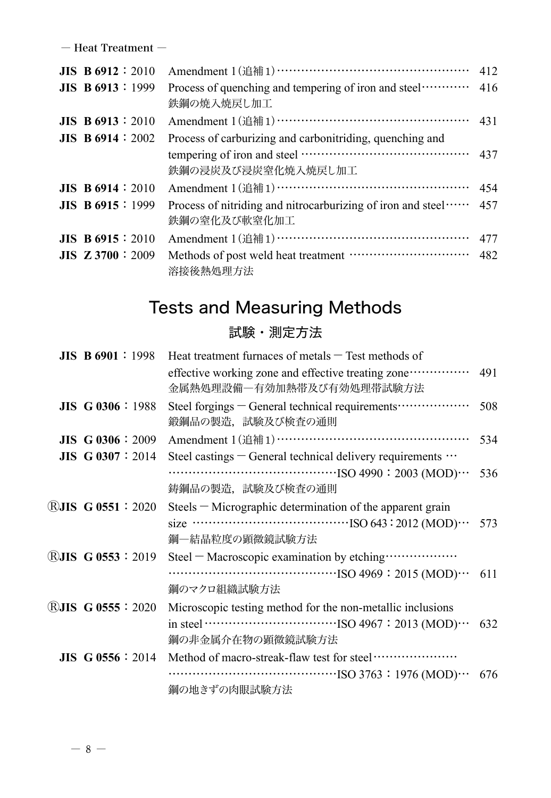― Heat Treatment ―

| $JIS$ B 6912 : 2010      | Amendment 1(追補1)………………………………………… 412                                               |     |
|--------------------------|------------------------------------------------------------------------------------|-----|
| $JIS$ B 6913 : 1999      | Process of quenching and tempering of iron and steel ··········· 416<br>鉄鋼の焼入焼戻し加工 |     |
| <b>JIS B 6913</b> : 2010 | Amendment 1 (追補 1) ……………………………………………… 431                                          |     |
| <b>JIS B 6914</b> : 2002 | Process of carburizing and carbonitriding, quenching and                           |     |
|                          | 鉄鋼の浸炭及び浸炭窒化焼入焼戻し加工                                                                 |     |
| <b>JIS B 6914</b> : 2010 | Amendment 1 (追補 1) ………………………………………………… 454                                         |     |
| <b>JIS B 6915</b> : 1999 | Process of nitriding and nitrocarburizing of iron and steel<br>鉄鋼の窒化及び軟窒化加工        | 457 |
| $JIS$ B 6915 : 2010      | Amendment 1 (追補 1) ……………………………………………… 477                                          |     |
| $JIS$ Z 3700 : 2009      | 溶接後熱処理方法                                                                           |     |

### Tests and Measuring Methods

#### 試験・測定方法

| $JIS$ B 6901 : 1998       | Heat treatment furnaces of metals $-$ Test methods of                                                                                                                                                                                                                                                                                   |     |
|---------------------------|-----------------------------------------------------------------------------------------------------------------------------------------------------------------------------------------------------------------------------------------------------------------------------------------------------------------------------------------|-----|
|                           | effective working zone and effective treating zone ··············· 491<br>金属熱処理設備一有効加熱帯及び有効処理帯試験方法                                                                                                                                                                                                                                      |     |
| $JIS$ G 0306 : 1988       | Steel forgings - General technical requirements ···················<br>鍛鋼品の製造,試験及び検査の通則                                                                                                                                                                                                                                                 | 508 |
| $JIS$ G 0306 : 2009       |                                                                                                                                                                                                                                                                                                                                         | 534 |
| <b>JIS G 0307</b> : 2014  | Steel castings $-$ General technical delivery requirements $\cdots$                                                                                                                                                                                                                                                                     |     |
|                           |                                                                                                                                                                                                                                                                                                                                         | 536 |
|                           | 鋳鋼品の製造,試験及び検査の通則                                                                                                                                                                                                                                                                                                                        |     |
| <b>RJIS G 0551 : 2020</b> | Steels – Micrographic determination of the apparent grain                                                                                                                                                                                                                                                                               |     |
|                           |                                                                                                                                                                                                                                                                                                                                         |     |
|                           | 鋼一結晶粒度の顕微鏡試験方法                                                                                                                                                                                                                                                                                                                          |     |
| <b>RJIS G 0553 : 2019</b> | Steel - Macroscopic examination by etching ···················                                                                                                                                                                                                                                                                          |     |
|                           | $\cdots$ [SO 4969 : 2015 (MOD) $\cdots$ 611                                                                                                                                                                                                                                                                                             |     |
|                           | 鋼のマクロ組織試験方法                                                                                                                                                                                                                                                                                                                             |     |
| $RJIS$ G 0555 : 2020      | Microscopic testing method for the non-metallic inclusions                                                                                                                                                                                                                                                                              |     |
|                           | in steel $\cdots$ $\cdots$ $\cdots$ $\cdots$ $\cdots$ $\cdots$ $\cdots$ $\cdots$ $\cdots$ $\cdots$ $\cdots$ $\cdots$ $\cdots$ $\cdots$ $\cdots$ $\cdots$ $\cdots$ $\cdots$ $\cdots$ $\cdots$ $\cdots$ $\cdots$ $\cdots$ $\cdots$ $\cdots$ $\cdots$ $\cdots$ $\cdots$ $\cdots$ $\cdots$ $\cdots$ $\cdots$ $\cdots$ $\cdots$ $\cdots$ $\$ |     |
|                           | 鋼の非金属介在物の顕微鏡試験方法                                                                                                                                                                                                                                                                                                                        |     |
| $JIS$ G 0556 : 2014       |                                                                                                                                                                                                                                                                                                                                         |     |
|                           |                                                                                                                                                                                                                                                                                                                                         |     |
|                           | 鋼の地きずの肉眼試験方法                                                                                                                                                                                                                                                                                                                            |     |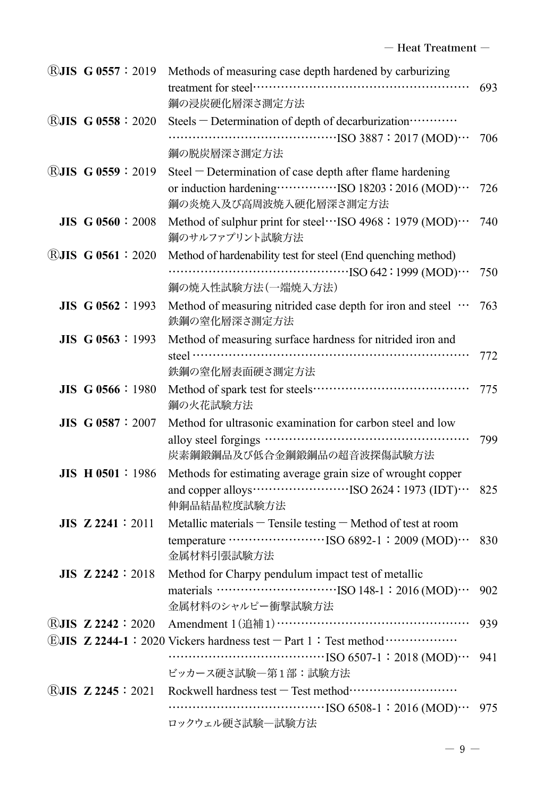|                          | ®JIS G 0557: 2019 Methods of measuring case depth hardened by carburizing                              |     |
|--------------------------|--------------------------------------------------------------------------------------------------------|-----|
|                          |                                                                                                        | 693 |
|                          | 鋼の浸炭硬化層深さ測定方法                                                                                          |     |
| <b>®JIS G 0558:2020</b>  | Steels - Determination of depth of decarburization ············                                        |     |
|                          |                                                                                                        | 706 |
|                          | 鋼の脱炭層深さ測定方法                                                                                            |     |
| <b>®JIS G 0559:2019</b>  | Steel - Determination of case depth after flame hardening                                              |     |
|                          |                                                                                                        | 726 |
|                          | 鋼の炎焼入及び高周波焼入硬化層深さ測定方法                                                                                  |     |
| <b>JIS G 0560 : 2008</b> | Method of sulphur print for steel…ISO 4968: 1979 (MOD)…                                                | 740 |
|                          | 鋼のサルファプリント試験方法                                                                                         |     |
| (R) $JIS$ G 0561 : 2020  | Method of hardenability test for steel (End quenching method)                                          |     |
|                          |                                                                                                        | 750 |
|                          | 鋼の焼入性試験方法(一端焼入方法)                                                                                      |     |
| <b>JIS G 0562</b> : 1993 | Method of measuring nitrided case depth for iron and steel                                             | 763 |
|                          | 鉄鋼の窒化層深さ測定方法                                                                                           |     |
| JIS G 0563:1993          | Method of measuring surface hardness for nitrided iron and                                             |     |
|                          |                                                                                                        | 772 |
|                          | 鉄鋼の窒化層表面硬さ測定方法                                                                                         |     |
| JIS G 0566:1980          |                                                                                                        | 775 |
|                          | 鋼の火花試験方法                                                                                               |     |
| <b>JIS G 0587 : 2007</b> | Method for ultrasonic examination for carbon steel and low                                             |     |
|                          |                                                                                                        | 799 |
|                          | 炭素鋼鍛鋼品及び低合金鋼鍛鋼品の超音波探傷試験方法                                                                              |     |
| $JIS$ H 0501 : 1986      | Methods for estimating average grain size of wrought copper                                            |     |
|                          | and copper alloys $\cdots$ $\cdots$ $\cdots$ $\cdots$ $\cdots$ $\cdots$ ISO 2624 : 1973 (IDT) $\cdots$ | 825 |
|                          | 伸銅品結晶粒度試験方法                                                                                            |     |
| $JIS$ Z 2241 : 2011      | Metallic materials - Tensile testing - Method of test at room                                          |     |
|                          |                                                                                                        | 830 |
|                          | 金属材料引張試験方法                                                                                             |     |
| $JIS$ Z 2242 : 2018      | Method for Charpy pendulum impact test of metallic                                                     |     |
|                          |                                                                                                        | 902 |
|                          | 金属材料のシャルピー衝撃試験方法                                                                                       |     |
| <b>RJIS Z 2242:2020</b>  |                                                                                                        | 939 |
|                          | <b>EJIS Z 2244-1: 2020 Vickers hardness test - Part 1: Test method </b>                                |     |
|                          |                                                                                                        | 941 |
|                          | ビッカース硬さ試験一第1部:試験方法                                                                                     |     |
| <b>®JIS Z 2245:2021</b>  |                                                                                                        |     |
|                          |                                                                                                        | 975 |
|                          | ロックウェル硬さ試験一試験方法                                                                                        |     |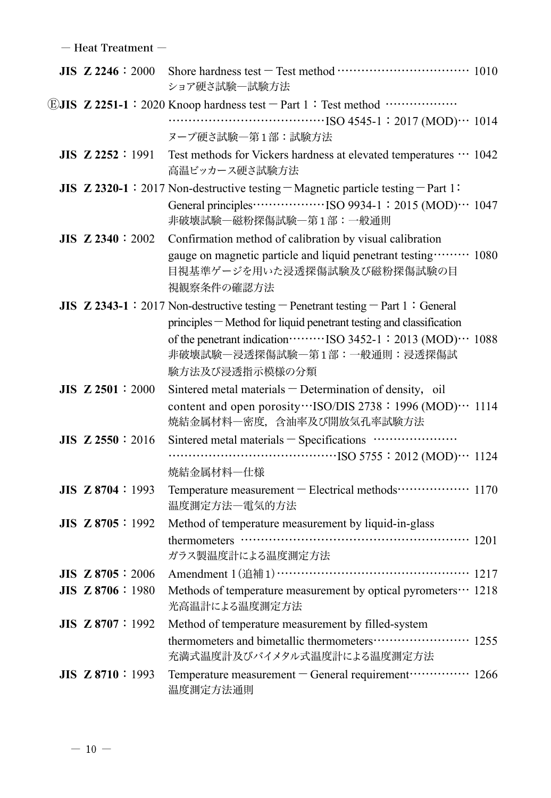― Heat Treatment ―

| <b>JIS Z 2246: 2000</b>  | ショア硬さ試験一試験方法                                                                                                        |  |
|--------------------------|---------------------------------------------------------------------------------------------------------------------|--|
|                          | <b>EJIS Z 2251-1:</b> 2020 Knoop hardness test - Part 1: Test method                                                |  |
|                          | $\cdots$ [SO 4545-1 : 2017 (MOD) $\cdots$ 1014                                                                      |  |
|                          | ヌープ硬さ試験一第1部:試験方法                                                                                                    |  |
| $JIS$ $Z$ 2252 : 1991    | Test methods for Vickers hardness at elevated temperatures $\cdots$ 1042<br>高温ビッカース硬さ試験方法                           |  |
|                          | JIS Z 2320-1 : 2017 Non-destructive testing $-Magnetic$ particle testing $-$ Part 1:                                |  |
|                          | General principles………………ISO 9934-1: 2015 (MOD)… 1047<br>非破壊試験一磁粉探傷試験一第1部:一般通則                                       |  |
| <b>JIS Z 2340</b> : 2002 | Confirmation method of calibration by visual calibration                                                            |  |
|                          | gauge on magnetic particle and liquid penetrant testing ········· 1080<br>目視基準ゲージを用いた浸透探傷試験及び磁粉探傷試験の目<br>視観察条件の確認方法 |  |
|                          | JIS $Z$ 2343-1:2017 Non-destructive testing – Penetrant testing – Part 1: General                                   |  |
|                          | principles - Method for liquid penetrant testing and classification                                                 |  |
|                          | 非破壊試験一浸透探傷試験一第1部:一般通則:浸透探傷試                                                                                         |  |
|                          | 験方法及び浸透指示模様の分類                                                                                                      |  |
| <b>JIS Z 2501:2000</b>   | Sintered metal materials - Determination of density, oil                                                            |  |
|                          | content and open porosity ··· ISO/DIS 2738: 1996 (MOD) ··· 1114<br>焼結金属材料一密度、含油率及び開放気孔率試験方法                         |  |
| <b>JIS Z 2550</b> : 2016 | Sintered metal materials - Specifications ························                                                  |  |
|                          | $\cdots$ [SO 5755 : 2012 (MOD) $\cdots$ 1124                                                                        |  |
|                          | 焼結金属材料一仕様                                                                                                           |  |
| <b>JIS Z 8704</b> : 1993 | Temperature measurement - Electrical methods ················· 1170<br>温度測定方法一電気的方法                                 |  |
| JIS Z 8705 : 1992        | Method of temperature measurement by liquid-in-glass                                                                |  |
|                          | thermometers $\cdots$ and $\cdots$ and $\cdots$ and $\cdots$ 1201<br>ガラス製温度計による温度測定方法                               |  |
| JIS Z 8705: 2006         | Amendment 1(追補1)………………………………………… 1217                                                                               |  |
| JIS Z 8706:1980          | Methods of temperature measurement by optical pyrometers… 1218<br>光高温計による温度測定方法                                     |  |
| JIS Z 8707: 1992         | Method of temperature measurement by filled-system                                                                  |  |
|                          | thermometers and bimetallic thermometers ························· 1255<br>充満式温度計及びバイメタル式温度計による温度測定方法               |  |
| JIS Z 8710:1993          | Temperature measurement - General requirement ·············· 1266<br>温度測定方法通則                                       |  |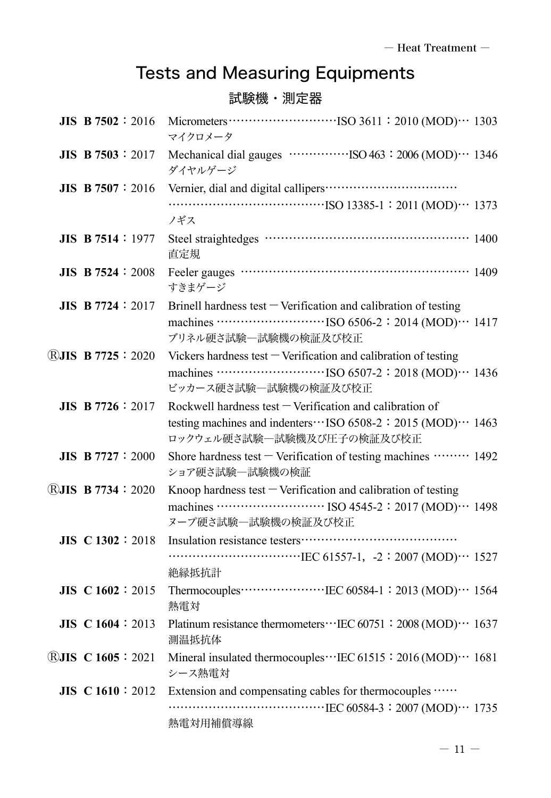# Tests and Measuring Equipments

#### 試験機・測定器

| <b>JIS B 7502</b> : 2016    | マイクロメータ                                                                                                                                                        |
|-----------------------------|----------------------------------------------------------------------------------------------------------------------------------------------------------------|
| <b>JIS B 7503</b> : 2017    | ダイヤルゲージ                                                                                                                                                        |
| JIS B $7507:2016$           | ノギス                                                                                                                                                            |
| JIS B 7514:1977             | 直定規                                                                                                                                                            |
| <b>JIS B 7524 : 2008</b>    | Feeler gauges …………………………………………………… 1409<br>すきまゲージ                                                                                                              |
| <b>JIS B 7724</b> : 2017    | Brinell hardness test $-$ Verification and calibration of testing<br>machines ISO 6506-2: 2014 (MOD) 1417<br>ブリネル硬さ試験一試験機の検証及び校正                               |
| <b>RJIS B 7725 : 2020</b>   | Vickers hardness test $-$ Verification and calibration of testing<br>ビッカース硬さ試験一試験機の検証及び校正                                                                      |
| <b>JIS B</b> 7726 : 2017    | Rockwell hardness test $-$ Verification and calibration of<br>testing machines and indenters ··· ISO 6508-2 : 2015 (MOD) ··· 1463<br>ロックウェル硬さ試験一試験機及び圧子の検証及び校正 |
| <b>JIS B</b> $7727 : 2000$  | Shore hardness test $-$ Verification of testing machines $\cdots$ 1492<br>ショア硬さ試験一試験機の検証                                                                       |
| <b>RJIS B 7734 : 2020</b>   | Knoop hardness test $-$ Verification and calibration of testing<br>ヌープ硬さ試験一試験機の検証及び校正                                                                          |
| $JIS \text{ } C1302 : 2018$ | 絶縁抵抗計                                                                                                                                                          |
| JIS C 1602 : 2015           | Thermocouples……………………IEC 60584-1: 2013 (MOD)… 1564<br>熱電対                                                                                                      |
| JIS C 1604 : 2013           | Platinum resistance thermometers ··· IEC 60751: 2008 (MOD) ··· 1637<br>測温抵抗体                                                                                   |
| <b>RJIS C 1605 : 2021</b>   | Mineral insulated thermocouples ··· IEC 61515: 2016 (MOD) ··· 1681<br>シース熱電対                                                                                   |
| $JIS \text{ } C1610 : 2012$ | Extension and compensating cables for thermocouples<br>熱電対用補償導線                                                                                                |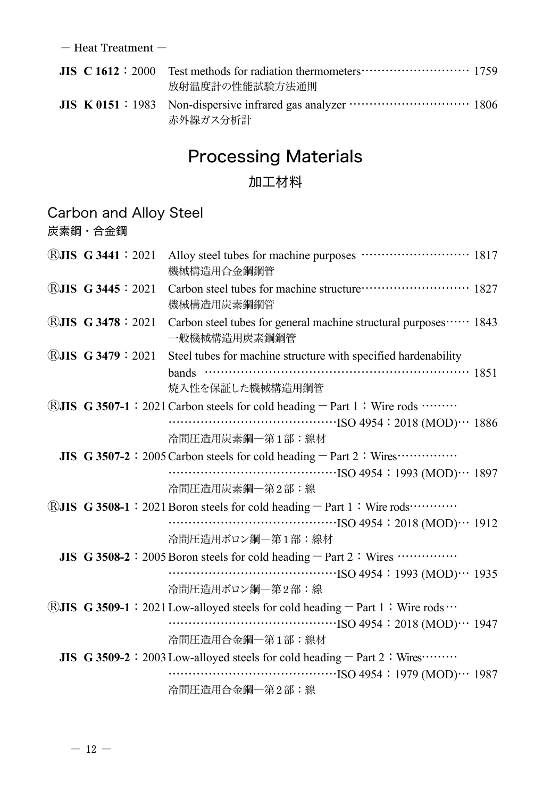― Heat Treatment ―

|  | <b>JIS</b> C $1612 : 2000$ Test methods for radiation thermometers $\cdots$ $\cdots$ $\cdots$ $\cdots$ 1759<br>放射温度計の性能試験方法通則 |  |
|--|-------------------------------------------------------------------------------------------------------------------------------|--|
|  | 赤外線ガス分析計                                                                                                                      |  |

# Processing Materials

#### 加工材料

#### Carbon and Alloy Steel

炭素鋼・合金鋼

| $\bigcirc$ JIS G 3441 : 2021 | Alloy steel tubes for machine purposes ……………………… 1817<br>機械構造用合金鋼鋼管                      |
|------------------------------|------------------------------------------------------------------------------------------|
| <b>RJIS G 3445 : 2021</b>    | Carbon steel tubes for machine structure ···························· 1827<br>機械構造用炭素鋼鋼管 |
| <b>RJIS G 3478 : 2021</b>    | Carbon steel tubes for general machine structural purposes…… 1843<br>一般機械構造用炭素鋼鋼管        |
| $\bigcirc$ UIS G 3479 : 2021 | Steel tubes for machine structure with specified hardenability                           |
|                              | bands $\cdots$ 1851<br>焼入性を保証した機械構造用鋼管                                                   |
|                              | <b>RJIS</b> G 3507-1 : 2021 Carbon steels for cold heading $-$ Part 1 : Wire rods        |
|                              | 冷間圧造用炭素鋼一第1部:線材                                                                          |
|                              | JIS G 3507-2: 2005 Carbon steels for cold heading - Part 2: Wires                        |
|                              | $\cdots$ (MOD) $\cdots$ 1897                                                             |
|                              | 冷間圧造用炭素鋼一第2部:線                                                                           |
|                              | <b>RJIS G</b> 3508-1 : 2021 Boron steels for cold heading $-$ Part 1 : Wire rods         |
|                              |                                                                                          |
|                              | 冷間圧造用ボロン鋼一第1部:線材                                                                         |
|                              | <b>JIS</b> G 3508-2 : 2005 Boron steels for cold heading $-$ Part 2 : Wires $\cdots$     |
|                              |                                                                                          |
|                              | 冷間圧造用ボロン鋼一第2部:線                                                                          |
|                              | ®JIS G 3509-1: 2021 Low-alloyed steels for cold heading - Part 1: Wire rods              |
|                              |                                                                                          |
|                              | 冷間圧造用合金鋼一第1部:線材                                                                          |
|                              | JIS G 3509-2 : 2003 Low-alloyed steels for cold heading $-$ Part 2 : Wires…….            |
|                              | $\cdots$ (MOD) $\cdots$ 1987                                                             |
|                              | 冷間圧造用合金鋼一第2部:線                                                                           |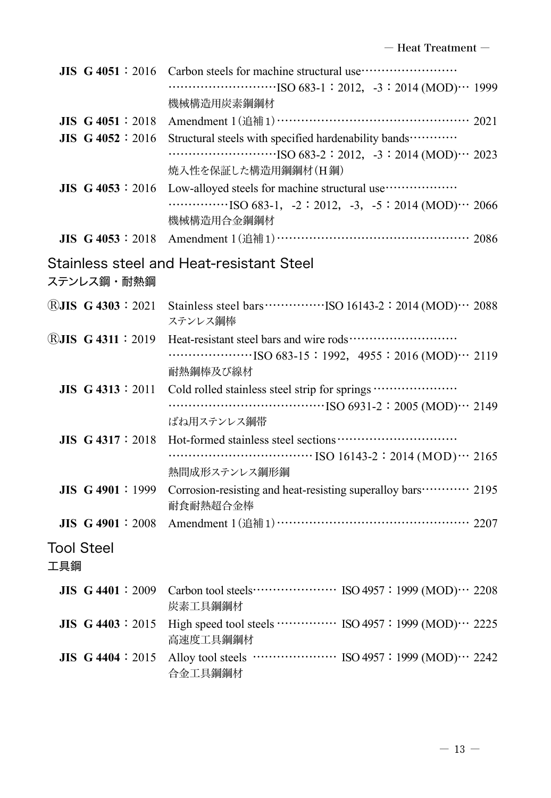|                          | JIS G 4051:2016           | Carbon steels for machine structural use ································<br>$\cdots$ (MOD) $\cdots$ 1999<br>機械構造用炭素鋼鋼材                                                                          |
|--------------------------|---------------------------|--------------------------------------------------------------------------------------------------------------------------------------------------------------------------------------------------|
|                          | JIS G 4051 : 2018         | Amendment 1(追補1)………………………………………… 2021                                                                                                                                                            |
|                          | JIS G 4052 : 2016         | Structural steels with specified hardenability bands ············<br>$\cdots$ $\cdots$ $\cdots$ $\cdots$ $\cdots$ $\cdots$ ISO 683-2 : 2012, -3 : 2014 (MOD) $\cdots$ 2023<br>焼入性を保証した構造用鋼鋼材(H鋼) |
|                          | JIS G 4053:2016           | Low-alloyed steels for machine structural use ···················<br>$\cdots$ ISO 683-1, -2:2012, -3, -5:2014 (MOD) $\cdots$ 2066<br>機械構造用合金鋼鋼材                                                  |
|                          | <b>JIS G 4053</b> : 2018  | Amendment 1 (追補1) …………………………………………… 2086                                                                                                                                                         |
|                          | ステンレス鋼・耐熱鋼                | Stainless steel and Heat-resistant Steel                                                                                                                                                         |
|                          | <b>RJIS G 4303 : 2021</b> | ステンレス鋼棒                                                                                                                                                                                          |
|                          | <b>®JIS G 4311:2019</b>   | $\cdots$ [SO 683-15 : 1992, 4955 : 2016 (MOD) $\cdots$ 2119<br>耐熱鋼棒及び線材                                                                                                                          |
|                          | <b>JIS G 4313</b> : 2011  | Cold rolled stainless steel strip for springs<br>ばね用ステンレス鋼帯                                                                                                                                      |
|                          | $JIS$ G 4317 : 2018       | 熱間成形ステンレス鋼形鋼                                                                                                                                                                                     |
|                          | <b>JIS G 4901: 1999</b>   | Corrosion-resisting and heat-resisting superalloy bars ··········· 2195<br>耐食耐熱超合金棒                                                                                                              |
|                          |                           | JIS G 4901: 2008 Amendment 1(追補1) …………………………………………… 2207                                                                                                                                         |
| <b>Tool Steel</b><br>工具鋼 |                           |                                                                                                                                                                                                  |
|                          |                           | 炭素工具鋼鋼材                                                                                                                                                                                          |
|                          | <b>JIS G 4403 : 2015</b>  | High speed tool steels  ISO 4957: 1999 (MOD) 2225<br>高速度工具鋼鋼材                                                                                                                                    |
|                          | JIS $G$ 4404 : 2015       | Alloy tool steels ………………… ISO 4957: 1999 (MOD)… 2242<br>合金工具鋼鋼材                                                                                                                                  |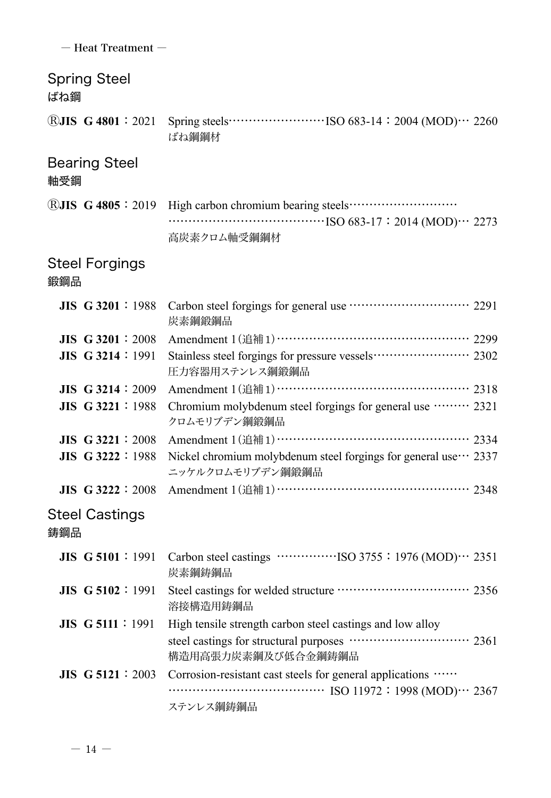| - Heat Treatment -           |                                                                                             |
|------------------------------|---------------------------------------------------------------------------------------------|
| <b>Spring Steel</b><br>ばね鋼   |                                                                                             |
| (R) $JIS$ G 4801 : 2021      | ばね鋼鋼材                                                                                       |
| <b>Bearing Steel</b><br>軸受鋼  |                                                                                             |
|                              | ®JIS G 4805: 2019 High carbon chromium bearing steels<br>高炭素クロム軸受鋼鋼材                        |
| <b>Steel Forgings</b><br>鍛鋼品 |                                                                                             |
| $JIS$ G 3201 : 1988          | Carbon steel forgings for general use ······························ 2291<br>炭素鋼鍛鋼品         |
| $JIS$ G 3201 : 2008          | Amendment 1(追補1)……………………………………… 2299                                                        |
| $JIS$ G 3214 : 1991          | Stainless steel forgings for pressure vessels ······················ 2302<br>圧力容器用ステンレス鋼鍛鋼品 |
| $JIS$ G 3214 : 2009          | Amendment 1(追補1)………………………………………… 2318                                                       |
| <b>JIS G 3221 : 1988</b>     | Chromium molybdenum steel forgings for general use  2321<br>クロムモリブデン鋼鍛鋼品                    |
| JIS G 3221:2008              | Amendment 1(追補1) ………………………………………… 2334                                                      |
| <b>JIS G 3222 : 1988</b>     | Nickel chromium molybdenum steel forgings for general use ··· 2337<br>ニッケルクロムモリブデン鋼鍛鋼品      |
|                              | JIS G 3222: 2008 Amendment 1 (追補1) …………………………………………… 2348                                   |
| <b>Steel Castings</b><br>鋳鋼品 |                                                                                             |
| <b>JIS G 5101</b> : 1991     | 炭素鋼鋳鋼品                                                                                      |
| <b>JIS G 5102</b> : 1991     | Steel castings for welded structure ································ 2356<br>溶接構造用鋳鋼品       |
| <b>JIS G 5111</b> : 1991     | High tensile strength carbon steel castings and low alloy                                   |
|                              | steel castings for structural purposes ………………………… 2361<br>構造用高張力炭素鋼及び低合金鋼鋳鋼品                |
| $JIS$ G 5121 : 2003          | Corrosion-resistant cast steels for general applications                                    |
|                              | $\cdots$ ISO 11972 : 1998 (MOD) $\cdots$ 2367<br>ステンレス鋼鋳鋼品                                  |